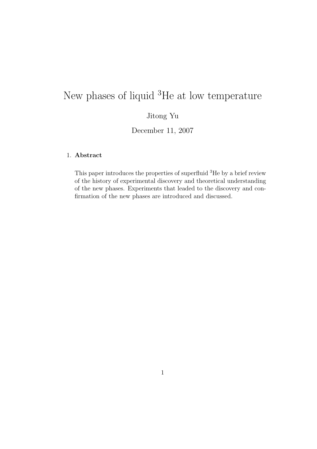# New phases of liquid <sup>3</sup>He at low temperature

# Jitong Yu

December 11, 2007

# 1. Abstract

This paper introduces the properties of superfluid <sup>3</sup>He by a brief review of the history of experimental discovery and theoretical understanding of the new phases. Experiments that leaded to the discovery and confirmation of the new phases are introduced and discussed.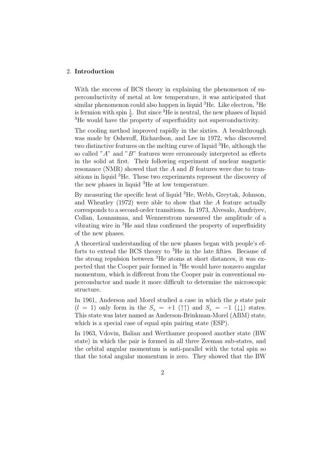#### 2. Introduction

With the success of BCS theory in explaining the phenomenon of superconductivity of metal at low temperature, it was anticipated that similar phenomenon could also happen in liquid  ${}^{3}$ He. Like electron,  ${}^{3}$ He is fermion with spin  $\frac{1}{2}$ . But since <sup>3</sup>He is neutral, the new phases of liquid <sup>3</sup>He would have the property of superfluidity not superconductivity.

The cooling method improved rapidly in the sixties. A breakthrough was made by Osheroff, Richardson, and Lee in 1972, who discovered two distinctive features on the melting curve of liquid <sup>3</sup>He, although the so called " $A$ " and " $B$ " features were erroneously interpreted as effects in the solid at first. Their following experiment of nuclear magnetic resonance (NMR) showed that the A and B features were due to transitions in liquid <sup>3</sup>He. These two experiments represent the discovery of the new phases in liquid <sup>3</sup>He at low temperature.

By measuring the specific heat of liquid <sup>3</sup>He, Webb, Greytak, Johnson, and Wheatley  $(1972)$  were able to show that the  $A$  feature actually corresponds to a second-order transitions. In 1973, Alvesalo, Anufriyev, Collan, Lounasmaa, and Wennerstrom measured the amplitude of a vibrating wire in <sup>3</sup>He and thus confirmed the property of superfluidity of the new phases.

A theoretical understanding of the new phases began with people's efforts to extend the BCS theory to <sup>3</sup>He in the late fifties. Because of the strong repulsion between <sup>3</sup>He atoms at short distances, it was expected that the Cooper pair formed in <sup>3</sup>He would have nonzero angular momentum, which is different from the Cooper pair in conventional superconductor and made it more difficult to determine the microscopic structure.

In 1961, Anderson and Morel studied a case in which the  $p$  state pair  $(l = 1)$  only form in the  $S_z = +1$  ( $\uparrow \uparrow$ ) and  $S_z = -1$  ( $\downarrow \downarrow$ ) states. This state was later named as Anderson-Brinkman-Morel (ABM) state, which is a special case of equal spin pairing state (ESP).

In 1963, Vdovin, Balian and Werthamer proposed another state (BW state) in which the pair is formed in all three Zeeman sub-states, and the orbital angular momentum is anti-parallel with the total spin so that the total angular momentum is zero. They showed that the BW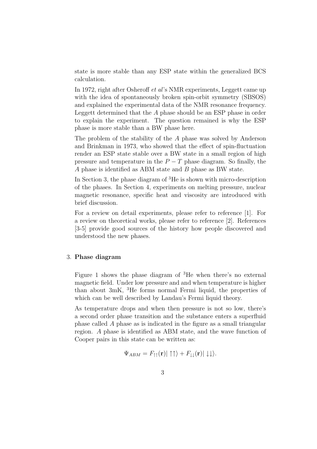state is more stable than any ESP state within the generalized BCS calculation.

In 1972, right after Osheroff et al's NMR experiments, Leggett came up with the idea of spontaneously broken spin-orbit symmetry (SBSOS) and explained the experimental data of the NMR resonance frequency. Leggett determined that the A phase should be an ESP phase in order to explain the experiment. The question remained is why the ESP phase is more stable than a BW phase here.

The problem of the stability of the A phase was solved by Anderson and Brinkman in 1973, who showed that the effect of spin-fluctuation render an ESP state stable over a BW state in a small region of high pressure and temperature in the  $P - T$  phase diagram. So finally, the A phase is identified as ABM state and B phase as BW state.

In Section 3, the phase diagram of <sup>3</sup>He is shown with micro-description of the phases. In Section 4, experiments on melting pressure, nuclear magnetic resonance, specific heat and viscosity are introduced with brief discussion.

For a review on detail experiments, please refer to reference [1]. For a review on theoretical works, please refer to reference [2]. References [3-5] provide good sources of the history how people discovered and understood the new phases.

#### 3. Phase diagram

Figure 1 shows the phase diagram of <sup>3</sup>He when there's no external magnetic field. Under low pressure and and when temperature is higher than about 3mK, <sup>3</sup>He forms normal Fermi liquid, the properties of which can be well described by Landau's Fermi liquid theory.

As temperature drops and when then pressure is not so low, there's a second order phase transition and the substance enters a superfluid phase called A phase as is indicated in the figure as a small triangular region. A phase is identified as ABM state, and the wave function of Cooper pairs in this state can be written as:

$$
\Psi_{ABM} = F_{\uparrow\uparrow}(\mathbf{r})|\uparrow\uparrow\rangle + F_{\downarrow\downarrow}(\mathbf{r})|\downarrow\downarrow\rangle.
$$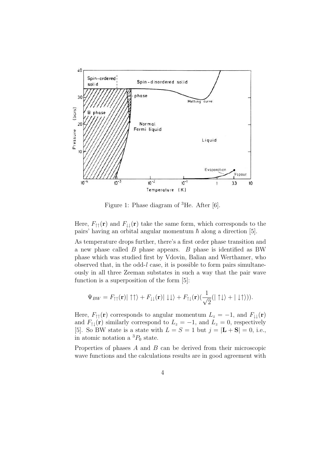

Figure 1: Phase diagram of <sup>3</sup>He. After [6].

Here,  $F_{\uparrow\uparrow}(\mathbf{r})$  and  $F_{\downarrow\downarrow}(\mathbf{r})$  take the same form, which corresponds to the pairs' having an orbital angular momentum  $\hbar$  along a direction [5].

As temperature drops further, there's a first order phase transition and a new phase called B phase appears. B phase is identified as BW phase which was studied first by Vdovin, Balian and Werthamer, who observed that, in the odd-l case, it is possible to form pairs simultaneously in all three Zeeman substates in such a way that the pair wave function is a superposition of the form [5]:

$$
\Psi_{BW} = F_{\uparrow\uparrow}(\mathbf{r})|\uparrow\uparrow\rangle + F_{\downarrow\downarrow}(\mathbf{r})|\downarrow\downarrow\rangle + F_{\uparrow\downarrow}(\mathbf{r})(\frac{1}{\sqrt{2}}(|\uparrow\downarrow\rangle + |\downarrow\uparrow\rangle)).
$$

Here,  $F_{\uparrow\uparrow}(\mathbf{r})$  corresponds to angular momentum  $L_z = -1$ , and  $F_{\downarrow\downarrow}(\mathbf{r})$ and  $F_{\uparrow\downarrow}(\mathbf{r})$  similarly correspond to  $L_z = -1$ , and  $L_z = 0$ , respectively [5]. So BW state is a state with  $L = S = 1$  but  $j = |L + S| = 0$ , i.e., in atomic notation a  ${}^{3}P_{0}$  state.

Properties of phases A and B can be derived from their microscopic wave functions and the calculations results are in good agreement with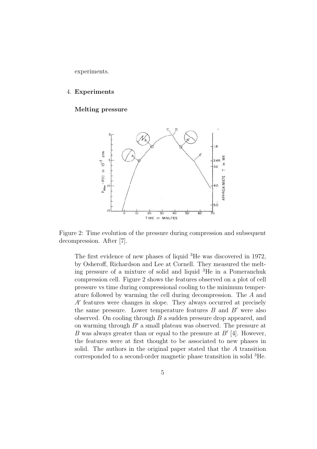experiments.

#### 4. Experiments

# Melting pressure



Figure 2: Time evolution of the pressure during compression and subsequent decompression. After [7].

The first evidence of new phases of liquid <sup>3</sup>He was discovered in 1972, by Osheroff, Richardson and Lee at Cornell. They measured the melting pressure of a mixture of solid and liquid <sup>3</sup>He in a Pomeranchuk compression cell. Figure 2 shows the features observed on a plot of cell pressure vs time during compressional cooling to the minimum temperature followed by warming the cell during decompression. The A and  $A'$  features were changes in slope. They always occurred at precisely the same pressure. Lower temperature features  $B$  and  $B'$  were also observed. On cooling through B a sudden pressure drop appeared, and on warming through  $B'$  a small plateau was observed. The pressure at B was always greater than or equal to the pressure at  $B'$  [4]. However, the features were at first thought to be associated to new phases in solid. The authors in the original paper stated that the A transition corresponded to a second-order magnetic phase transition in solid <sup>3</sup>He.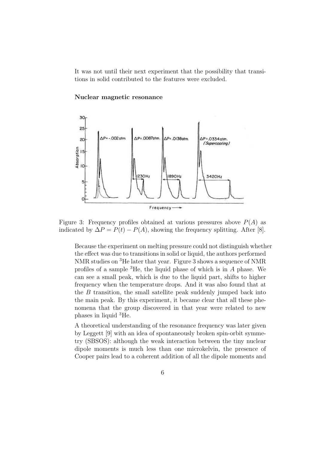It was not until their next experiment that the possibility that transitions in solid contributed to the features were excluded.

## 30 25  $\Delta P = -002$  of m  $AP = .0087$ atm. △P=.0138atm △P=.0334 atm  $20<sup>2</sup>$ (Supercooling) Absorption 15 230Hz 1890Hz 3420Hz  $\overline{O}$ Frequency

#### Nuclear magnetic resonance

Figure 3: Frequency profiles obtained at various pressures above  $P(A)$  as indicated by  $\Delta P = P(t) - P(A)$ , showing the frequency splitting. After [8].

Because the experiment on melting pressure could not distinguish whether the effect was due to transitions in solid or liquid, the authors performed NMR studies on <sup>3</sup>He later that year. Figure 3 shows a sequence of NMR profiles of a sample  ${}^{3}$ He, the liquid phase of which is in A phase. We can see a small peak, which is due to the liquid part, shifts to higher frequency when the temperature drops. And it was also found that at the  $B$  transition, the small satellite peak suddenly jumped back into the main peak. By this experiment, it became clear that all these phenomena that the group discovered in that year were related to new phases in liquid <sup>3</sup>He.

A theoretical understanding of the resonance frequency was later given by Leggett [9] with an idea of spontaneously broken spin-orbit symmetry (SBSOS): although the weak interaction between the tiny nuclear dipole moments is much less than one microkelvin, the presence of Cooper pairs lead to a coherent addition of all the dipole moments and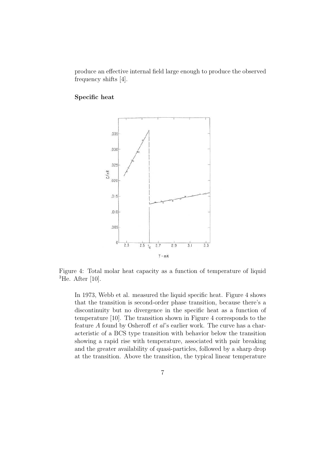produce an effective internal field large enough to produce the observed frequency shifts [4].

# Specific heat



Figure 4: Total molar heat capacity as a function of temperature of liquid  ${}^{3}$ He. After [10].

In 1973, Webb et al. measured the liquid specific heat. Figure 4 shows that the transition is second-order phase transition, because there's a discontinuity but no divergence in the specific heat as a function of temperature [10]. The transition shown in Figure 4 corresponds to the feature A found by Osheroff et al's earlier work. The curve has a characteristic of a BCS type transition with behavior below the transition showing a rapid rise with temperature, associated with pair breaking and the greater availability of quasi-particles, followed by a sharp drop at the transition. Above the transition, the typical linear temperature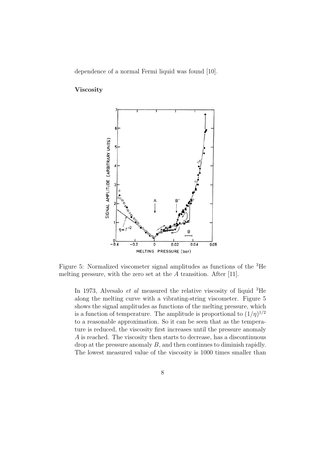dependence of a normal Fermi liquid was found [10].

#### Viscosity



Figure 5: Normalized viscometer signal amplitudes as functions of the <sup>3</sup>He melting pressure, with the zero set at the  $A$  transition. After [11].

In 1973, Alvesalo *et al* measured the relative viscosity of liquid  ${}^{3}$ He along the melting curve with a vibrating-string viscometer. Figure 5 shows the signal amplitudes as functions of the melting pressure, which is a function of temperature. The amplitude is proportional to  $(1/\eta)^{1/2}$ to a reasonable approximation. So it can be seen that as the temperature is reduced, the viscosity first increases until the pressure anomaly A is reached. The viscosity then starts to decrease, has a discontinuous drop at the pressure anomaly B, and then continues to diminish rapidly. The lowest measured value of the viscosity is 1000 times smaller than